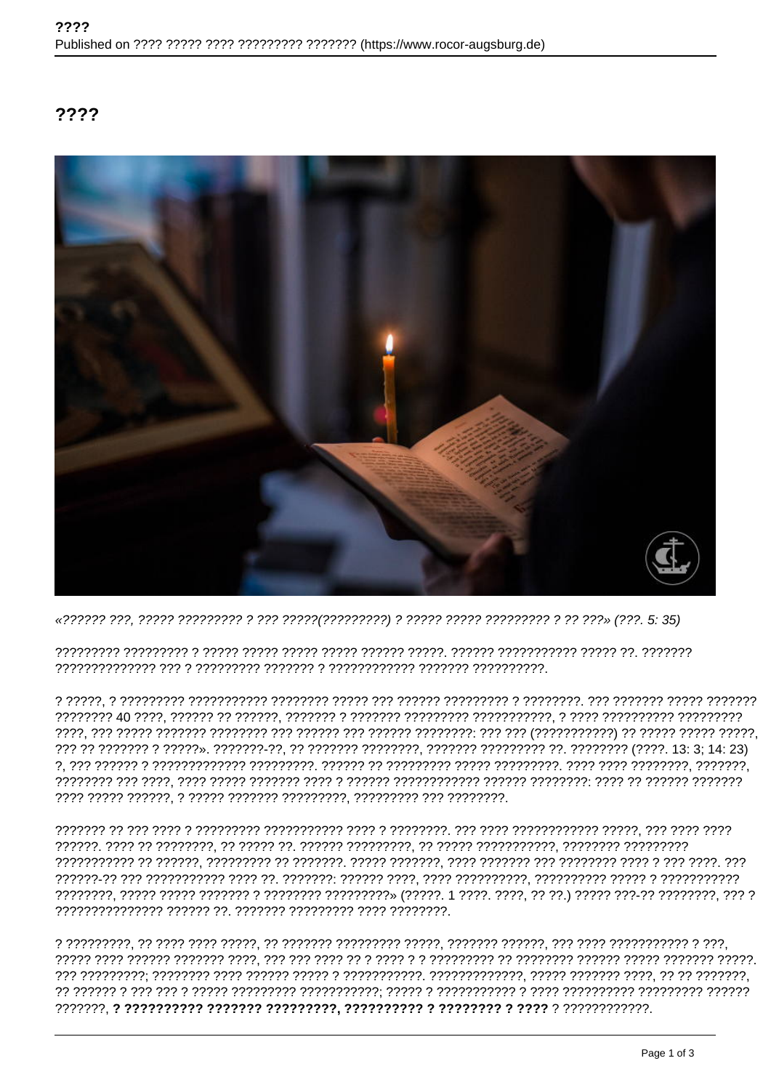## ????

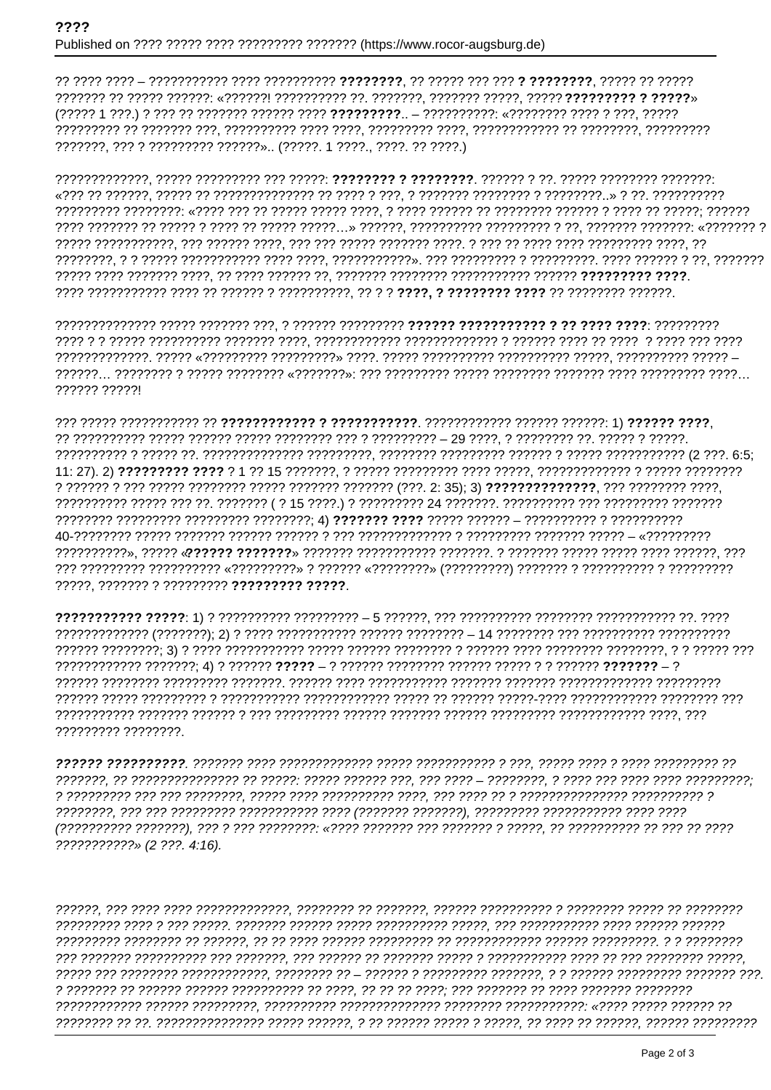???????, ??? ? ????????? ??????».. (?????. 1 ????., ????. ?? ????.)

777777 777771

?????. ??????? ? ????????? ????????? ?????.

????????? ????????

???????????» (2 ???. 4:16).